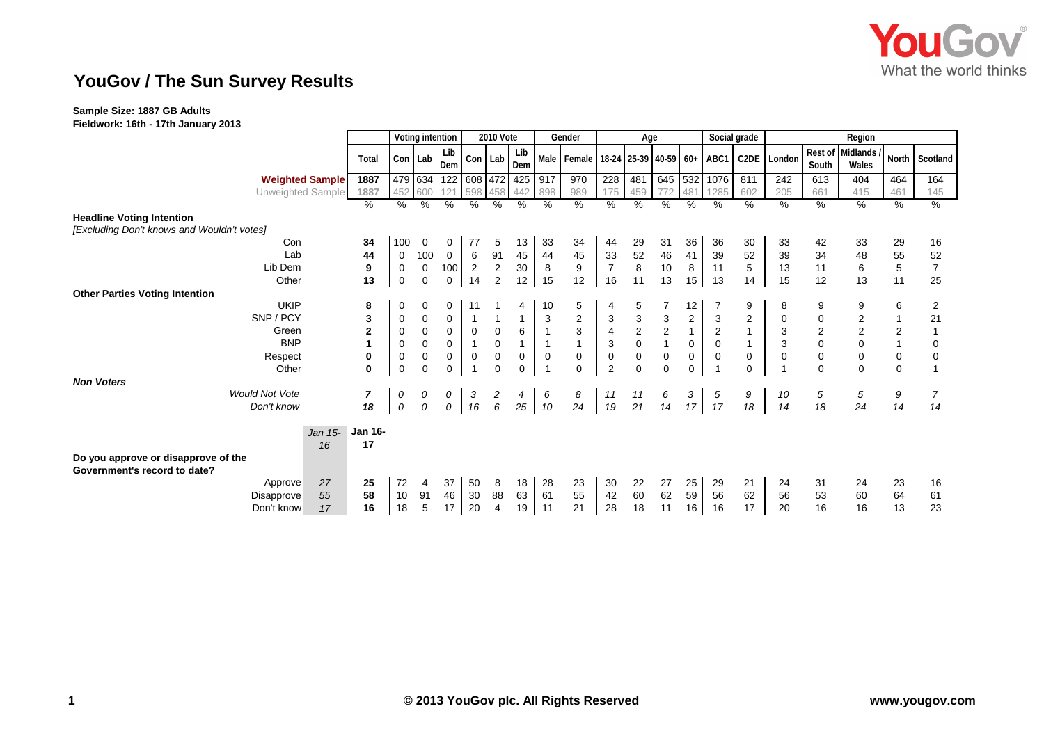

## **YouGov / The Sun Survey Results**

## **Sample Size: 1887 GB Adults**

**Fieldwork: 16th - 17th January 2013**

|                                                                     |         |                | Voting intention |             |                | 2010 Vote       |                |               |                | Gender                                             | Age            |               |                           |                 | Social grade   |                         | Region         |                         |                     |                |                |
|---------------------------------------------------------------------|---------|----------------|------------------|-------------|----------------|-----------------|----------------|---------------|----------------|----------------------------------------------------|----------------|---------------|---------------------------|-----------------|----------------|-------------------------|----------------|-------------------------|---------------------|----------------|----------------|
|                                                                     |         | Total          |                  | Con Lab     | Lib<br>Dem     |                 | Con Lab        | Lib<br>Dem    |                | Male   Female   18-24   25-39   40-59   60+   ABC1 |                |               |                           |                 |                | C2DE                    | London         | <b>Rest of</b><br>South | Midlands /<br>Wales |                | North Scotland |
| <b>Weighted Sample</b>                                              |         | 1887           |                  | 479 634     | 122            |                 | 608 472        | 425           | 917            | 970                                                | 228            | 481           | 645                       | 532             | 1076           | 811                     | 242            | 613                     | 404                 | 464            | 164            |
| Unweighted Sample                                                   |         | 1887           |                  | 452 600     |                | 598             | 458            | 442           | 898            | 989                                                |                | 459           | 772                       | 481             | 285            | 602                     | 205            | 661                     | 415                 | 461            | 145            |
|                                                                     |         | %              | %                | $\%$        | %              | $\overline{\%}$ | %              | $\frac{9}{6}$ | %              | $\%$                                               | %              | $\%$          | $\frac{9}{6}$             | $\%$            | $\%$           | $\%$                    | %              | %                       | %                   | $\frac{9}{6}$  | %              |
| <b>Headline Voting Intention</b>                                    |         |                |                  |             |                |                 |                |               |                |                                                    |                |               |                           |                 |                |                         |                |                         |                     |                |                |
| [Excluding Don't knows and Wouldn't votes]                          |         |                |                  |             |                |                 |                |               |                |                                                    |                |               |                           |                 |                |                         |                |                         |                     |                |                |
| Con                                                                 |         | 34             | 100              | 0           | 0              | 77              | 5              | 13            | 33             | 34                                                 | 44             | 29            | 31                        | 36              | 36             | 30                      | 33             | 42                      | 33                  | 29             | 16             |
| Lab                                                                 |         | 44             | 0                | 100         | $\overline{0}$ | 6               | 91             | 45            | 44             | 45                                                 | 33             | 52            | 46                        | 41              | 39             | 52                      | 39             | 34                      | 48                  | 55             | 52             |
| Lib Dem                                                             |         | 9              | 0                | $\mathbf 0$ | 100            | $\overline{2}$  | $\overline{2}$ | 30            | 8              | 9                                                  | $\overline{7}$ | 8             | 10                        | 8               | 11             | 5                       | 13             | 11                      | 6                   | $\sqrt{5}$     | $\overline{7}$ |
| Other                                                               |         | 13             | 0                | 0           | $\mathbf{0}$   | 14              | $\overline{2}$ | 12            | 15             | 12                                                 | 16             | 11            | 13                        | 15 <sub>1</sub> | 13             | 14                      | 15             | 12                      | 13                  | 11             | 25             |
| <b>Other Parties Voting Intention</b>                               |         |                |                  |             |                |                 |                |               |                |                                                    |                |               |                           |                 |                |                         |                |                         |                     |                |                |
| <b>UKIP</b>                                                         |         | 8              | 0                | 0           | 0              | 11              |                | 4             | 10             | 5                                                  |                | 5             |                           | 12              |                | 9                       | 8              | 9                       | 9                   | 6              | $\overline{2}$ |
| SNP / PCY                                                           |         | 3              | 0                | 0           | 0              | $\mathbf{1}$    |                |               | $\mathbf{3}$   | $\overline{c}$                                     | 3              | $\frac{3}{2}$ | $\ensuremath{\mathsf{3}}$ | $\overline{c}$  | 3              | $\overline{\mathbf{c}}$ | $\mathbf 0$    | $\mathbf 0$             | $\boldsymbol{2}$    | $\mathbf{1}$   | 21             |
| Green                                                               |         | $\overline{2}$ | 0                | $\mathbf 0$ | $\mathbf 0$    | $\mathbf 0$     | $\mathbf 0$    | 6             | $\overline{1}$ | 3                                                  | $\overline{4}$ |               | $\overline{2}$            | $\mathbf{1}$    | $\overline{2}$ |                         | 3              | $\boldsymbol{2}$        | $\overline{2}$      | $\overline{2}$ |                |
| <b>BNP</b>                                                          |         |                | 0                | 0           | 0              | $\mathbf{1}$    | 0              |               | $\overline{1}$ |                                                    | 3              | $\pmb{0}$     |                           | 0               | 0              |                         | 3              | $\pmb{0}$               | 0                   | $\mathbf{1}$   | 0              |
| Respect                                                             |         | 0              | 0                | 0           | $\mathbf{0}$   | $\pmb{0}$       | $\pmb{0}$      | $\mathbf{0}$  | $\mathbf 0$    | $\mathbf 0$                                        | $\mathbf 0$    | $\pmb{0}$     | $\mathbf 0$               | 0               | 0              | 0                       | $\mathbf 0$    | $\pmb{0}$               | $\mathbf 0$         | $\pmb{0}$      | 0              |
| Other                                                               |         | $\mathbf{0}$   | $\mathbf 0$      | $\mathbf 0$ | $\mathbf 0$    | $\overline{1}$  | $\mathbf 0$    | $\mathbf 0$   | $\overline{1}$ | $\mathbf{0}$                                       | $\overline{2}$ | $\mathbf 0$   | $\mathbf 0$               | $\mathbf 0$     |                | $\Omega$                | $\overline{1}$ | $\Omega$                | $\mathbf 0$         | 0              |                |
| <b>Non Voters</b>                                                   |         |                |                  |             |                |                 |                |               |                |                                                    |                |               |                           |                 |                |                         |                |                         |                     |                |                |
| <b>Would Not Vote</b>                                               |         | $\overline{7}$ | 0                | 0           | 0              | 3               | 2              | 4             | 6              | 8                                                  | 11             | 11            | 6                         | $\mathbf{3}$    | 5              | 9                       | 10             | 5                       | 5                   | 9              | $\overline{7}$ |
| Don't know                                                          |         | 18             | 0                | 0           | 0              | 16              | 6              | 25            | 10             | 24                                                 | 19             | 21            | 14                        | 17              | 17             | 18                      | 14             | 18                      | 24                  | 14             | 14             |
|                                                                     | Jan 15- | <b>Jan 16-</b> |                  |             |                |                 |                |               |                |                                                    |                |               |                           |                 |                |                         |                |                         |                     |                |                |
|                                                                     | 16      | 17             |                  |             |                |                 |                |               |                |                                                    |                |               |                           |                 |                |                         |                |                         |                     |                |                |
| Do you approve or disapprove of the<br>Government's record to date? |         |                |                  |             |                |                 |                |               |                |                                                    |                |               |                           |                 |                |                         |                |                         |                     |                |                |
| Approve                                                             | 27      | 25             | 72               | 4           | 37             | 50              | 8              | 18            | 28             | 23                                                 | 30             | 22            | 27                        | 25              | 29             | 21                      | 24             | 31                      | 24                  | 23             | 16             |
| Disapprove                                                          | 55      | 58             | 10               | 91          | 46             | 30              | 88             | 63            | 61             | 55                                                 | 42             | 60            | 62                        | 59              | 56             | 62                      | 56             | 53                      | 60                  | 64             | 61             |
| Don't know                                                          | 17      | 16             | 18               | 5           | 17             | 20              | 4              | 19            | 11             | 21                                                 | 28             | 18            | 11                        | 16              | 16             | 17                      | 20             | 16                      | 16                  | 13             | 23             |
|                                                                     |         |                |                  |             |                |                 |                |               |                |                                                    |                |               |                           |                 |                |                         |                |                         |                     |                |                |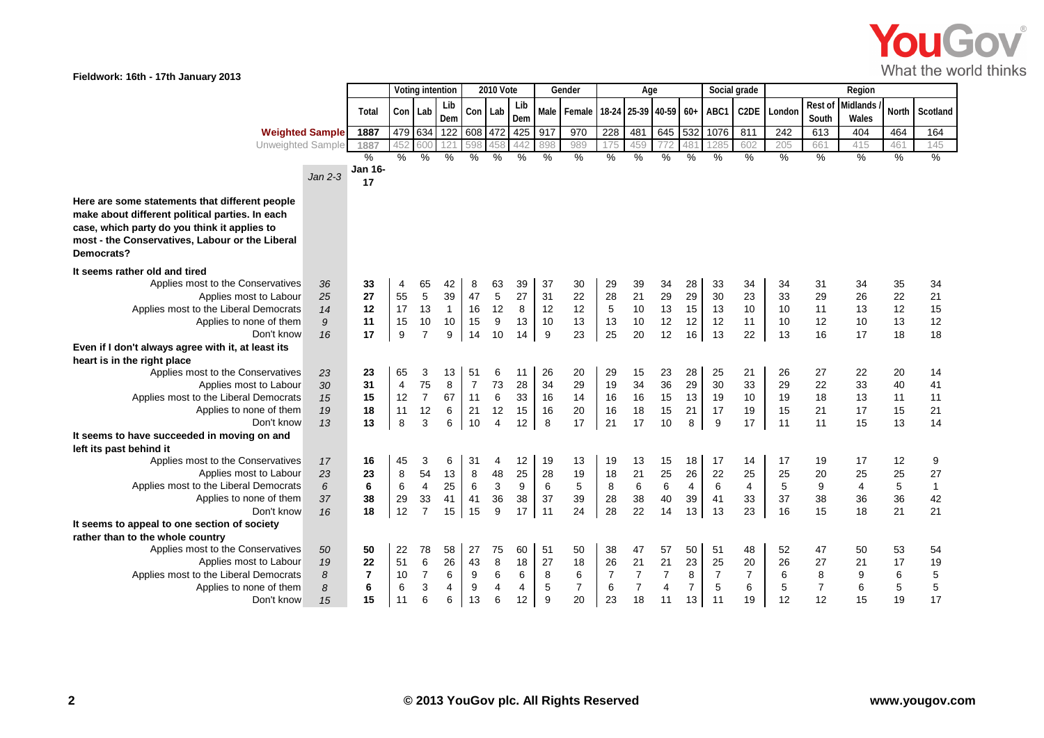

**Fieldwork: 16th - 17th January 2013**

|                                                    |                        | Voting intention |                          |                | 2010 Vote      |                |             | Gender |               | Age            |                |                 |                            | Social grade   |                | Region                  |        |                |          |       |                |
|----------------------------------------------------|------------------------|------------------|--------------------------|----------------|----------------|----------------|-------------|--------|---------------|----------------|----------------|-----------------|----------------------------|----------------|----------------|-------------------------|--------|----------------|----------|-------|----------------|
|                                                    |                        |                  |                          |                | Lib            |                |             | Lib    |               |                |                |                 |                            |                |                |                         |        | Rest of        | Midlands |       |                |
|                                                    |                        | Total            |                          | Con Lab        | Dem            | Con            | Lab         | Dem    | Male          | Female         |                |                 | 18-24 25-39 40-59 60+ ABC1 |                |                | C <sub>2</sub> DE       | London | South          | Wales    | North | Scotland       |
|                                                    | <b>Weighted Sample</b> | 1887             |                          | 479 634        | 122            | 608            | 472         | 425    | 917           | 970            | 228            | 481             | 645                        | 532            | 1076           | 811                     | 242    | 613            | 404      | 464   | 164            |
| Unweighted Sample                                  |                        | 1887             |                          | 600            | 121            | 598            | 458         | 442    | 898           | 989            | 175            | 459             | 772                        | 481            | 1285           | 602                     | 205    | 661            | 415      | 461   | 145            |
|                                                    |                        | $\%$             | %                        | $\frac{0}{0}$  | $\%$           | $\%$           | $\%$        | $\%$   | $\frac{0}{0}$ | %              | $\%$           | $\%$            | %                          | %              | %              | %                       | %      | %              | $\%$     | $\%$  | %              |
|                                                    |                        | Jan 16-          |                          |                |                |                |             |        |               |                |                |                 |                            |                |                |                         |        |                |          |       |                |
|                                                    | $Jan 2-3$              | 17               |                          |                |                |                |             |        |               |                |                |                 |                            |                |                |                         |        |                |          |       |                |
| Here are some statements that different people     |                        |                  |                          |                |                |                |             |        |               |                |                |                 |                            |                |                |                         |        |                |          |       |                |
| make about different political parties. In each    |                        |                  |                          |                |                |                |             |        |               |                |                |                 |                            |                |                |                         |        |                |          |       |                |
| case, which party do you think it applies to       |                        |                  |                          |                |                |                |             |        |               |                |                |                 |                            |                |                |                         |        |                |          |       |                |
| most - the Conservatives, Labour or the Liberal    |                        |                  |                          |                |                |                |             |        |               |                |                |                 |                            |                |                |                         |        |                |          |       |                |
| Democrats?                                         |                        |                  |                          |                |                |                |             |        |               |                |                |                 |                            |                |                |                         |        |                |          |       |                |
|                                                    |                        |                  |                          |                |                |                |             |        |               |                |                |                 |                            |                |                |                         |        |                |          |       |                |
| It seems rather old and tired                      |                        |                  |                          |                |                |                |             |        |               |                |                |                 |                            |                |                |                         |        |                |          |       |                |
| Applies most to the Conservatives                  | 36                     | 33               | 4                        | 65             | 42             | 8              | 63          | 39     | 37            | 30             | 29             | 39              | 34                         | 28             | 33             | 34                      | 34     | 31             | 34       | 35    | 34             |
| Applies most to Labour                             | 25                     | 27               | 55                       | 5              | 39             | 47             | $\,$ 5 $\,$ | 27     | 31            | 22             | 28             | 21              | 29                         | 29             | 30             | 23                      | 33     | 29             | 26       | 22    | 21             |
| Applies most to the Liberal Democrats              | 14                     | 12               | 17                       | 13             | $\mathbf{1}$   | 16             | 12          | 8      | 12            | 12             | 5              | 10              | 13                         | 15             | 13             | 10                      | 10     | 11             | 13       | 12    | 15             |
| Applies to none of them                            | $\boldsymbol{9}$       | 11               | 15                       | 10             | 10             | 15             | 9           | 13     | 10            | 13             | 13             | 10              | 12                         | 12             | 12             | 11                      | 10     | 12             | 10       | 13    | 12             |
| Don't know                                         | 16                     | 17               | 9                        | $\overline{7}$ | 9              | 14             | 10          | 14     | 9             | 23             | 25             | 20              | 12                         | 16             | 13             | 22                      | 13     | 16             | 17       | 18    | 18             |
| Even if I don't always agree with it, at least its |                        |                  |                          |                |                |                |             |        |               |                |                |                 |                            |                |                |                         |        |                |          |       |                |
| heart is in the right place                        |                        |                  |                          |                |                |                |             |        |               |                |                |                 |                            |                |                |                         |        |                |          |       |                |
| Applies most to the Conservatives                  | 23                     | 23               | 65                       | 3              | 13             | 51             | 6           | 11     | 26            | 20             | 29             | 15              | 23                         | 28             | 25             | 21                      | 26     | 27             | 22       | 20    | 14             |
| Applies most to Labour                             | 30                     | 31               | $\overline{\mathcal{L}}$ | 75             | 8              | $\overline{7}$ | 73          | 28     | 34            | 29             | 19             | 34              | 36                         | 29             | 30             | 33                      | 29     | 22             | 33       | 40    | 41             |
| Applies most to the Liberal Democrats              | 15                     | 15               | 12                       | $\overline{7}$ | 67             | 11             | 6           | 33     | 16            | 14             | 16             | 16              | 15                         | 13             | 19             | 10                      | 19     | 18             | 13       | 11    | 11             |
| Applies to none of them                            | 19                     | 18               | 11                       | 12             | 6              | 21             | 12          | 15     | 16            | 20             | 16             | 18              | 15                         | 21             | 17             | 19                      | 15     | 21             | 17       | 15    | 21             |
| Don't know                                         | 13                     | 13               | 8                        | 3              | 6              | 10             | 4           | 12     | 8             | 17             | 21             | 17              | 10                         | 8              | 9              | 17                      | 11     | 11             | 15       | 13    | 14             |
| It seems to have succeeded in moving on and        |                        |                  |                          |                |                |                |             |        |               |                |                |                 |                            |                |                |                         |        |                |          |       |                |
| left its past behind it                            |                        |                  |                          |                |                |                |             |        |               |                |                |                 |                            |                |                |                         |        |                |          |       |                |
| Applies most to the Conservatives                  | 17                     | 16               | 45                       | 3              | 6              | 31             | 4           | 12     | 19            | 13             | 19             | 13              | 15                         | 18             | 17             | 14                      | 17     | 19             | 17       | 12    | 9              |
| Applies most to Labour                             | 23                     | 23               | 8                        | 54             | 13             | 8              | 48          | 25     | 28            | 19             | 18             | 21              | 25                         | 26             | 22             | 25                      | 25     | 20             | 25       | 25    | 27             |
| Applies most to the Liberal Democrats              | 6                      | 6                | 6                        | $\overline{4}$ | 25             | 6              | 3           | 9      | 6             | 5              | 8              | $6\phantom{1}6$ | 6                          | 4              | 6              | $\overline{\mathbf{4}}$ | 5      | 9              | 4        | 5     | $\overline{1}$ |
| Applies to none of them                            | 37                     | 38               | 29                       | 33             | 41             | 41             | 36          | 38     | 37            | 39             | 28             | 38              | 40                         | 39             | 41             | 33                      | 37     | 38             | 36       | 36    | 42             |
| Don't know                                         | 16                     | 18               | 12                       | $\overline{7}$ | 15             | 15             | 9           | 17     | 11            | 24             | 28             | 22              | 14                         | 13             | 13             | 23                      | 16     | 15             | 18       | 21    | 21             |
| It seems to appeal to one section of society       |                        |                  |                          |                |                |                |             |        |               |                |                |                 |                            |                |                |                         |        |                |          |       |                |
| rather than to the whole country                   |                        |                  |                          |                |                |                |             |        |               |                |                |                 |                            |                |                |                         |        |                |          |       |                |
| Applies most to the Conservatives                  | 50                     | 50               | 22                       | 78             | 58             | 27             | 75          | 60     | 51            | 50             | 38             | 47              | 57                         | 50             | 51             | 48                      | 52     | 47             | 50       | 53    | 54             |
| Applies most to Labour                             | 19                     | 22               | 51                       | 6              | 26             | 43             | 8           | 18     | 27            | 18             | 26             | 21              | 21                         | 23             | 25             | 20                      | 26     | 27             | 21       | 17    | 19             |
| Applies most to the Liberal Democrats              | $\delta$               | 7                | 10                       | $\overline{7}$ | 6              | 9              | 6           | 6      | 8             | 6              | $\overline{7}$ | $\overline{7}$  | 7                          | 8              | $\overline{7}$ | 7                       | 6      | 8              | 9        | 6     | 5              |
| Applies to none of them                            | 8                      | 6                | 6                        | 3              | $\overline{4}$ | 9              | 4           | 4      | 5             | $\overline{7}$ | 6              | $\overline{7}$  | $\overline{4}$             | $\overline{7}$ | 5              | 6                       | 5      | $\overline{7}$ | $\,6\,$  | 5     | 5              |
| Don't know                                         | 15                     | 15               | 11                       | 6              | 6              | 13             | 6           | 12     | 9             | 20             | 23             | 18              | 11                         | 13             | 11             | 19                      | 12     | 12             | 15       | 19    | 17             |